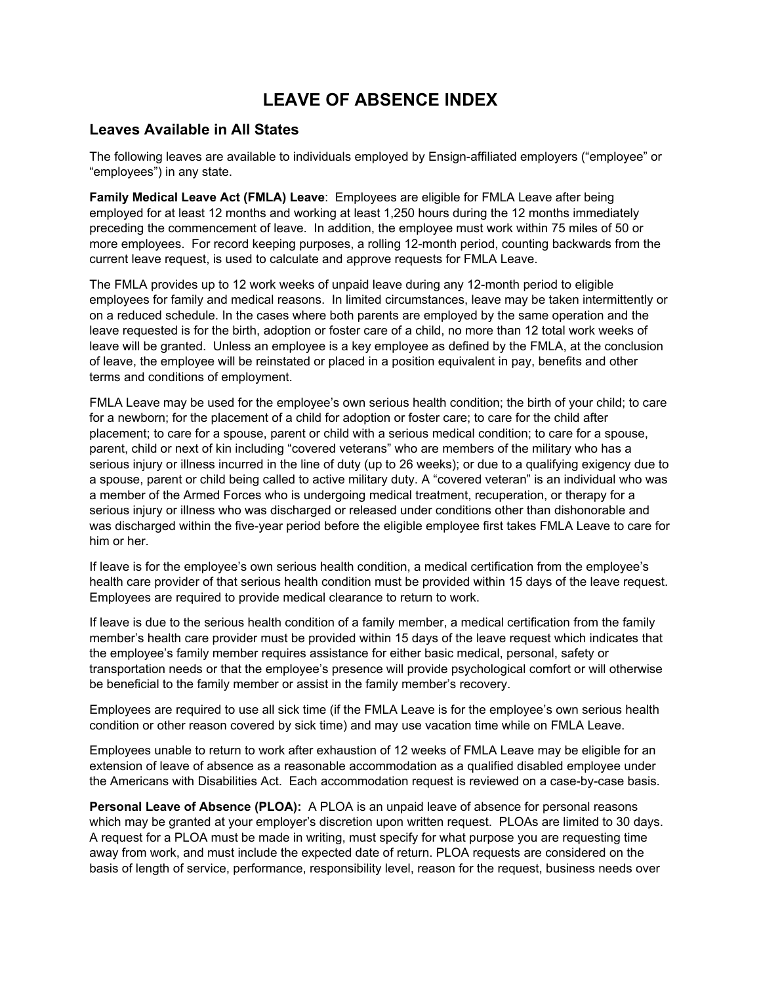# **LEAVE OF ABSENCE INDEX**

# **Leaves Available in All States**

The following leaves are available to individuals employed by Ensign-affiliated employers ("employee" or "employees") in any state.

**Family Medical Leave Act (FMLA) Leave**: Employees are eligible for FMLA Leave after being employed for at least 12 months and working at least 1,250 hours during the 12 months immediately preceding the commencement of leave. In addition, the employee must work within 75 miles of 50 or more employees. For record keeping purposes, a rolling 12-month period, counting backwards from the current leave request, is used to calculate and approve requests for FMLA Leave.

The FMLA provides up to 12 work weeks of unpaid leave during any 12-month period to eligible employees for family and medical reasons. In limited circumstances, leave may be taken intermittently or on a reduced schedule. In the cases where both parents are employed by the same operation and the leave requested is for the birth, adoption or foster care of a child, no more than 12 total work weeks of leave will be granted. Unless an employee is a key employee as defined by the FMLA, at the conclusion of leave, the employee will be reinstated or placed in a position equivalent in pay, benefits and other terms and conditions of employment.

FMLA Leave may be used for the employee's own serious health condition; the birth of your child; to care for a newborn; for the placement of a child for adoption or foster care; to care for the child after placement; to care for a spouse, parent or child with a serious medical condition; to care for a spouse, parent, child or next of kin including "covered veterans" who are members of the military who has a serious injury or illness incurred in the line of duty (up to 26 weeks); or due to a qualifying exigency due to a spouse, parent or child being called to active military duty. A "covered veteran" is an individual who was a member of the Armed Forces who is undergoing medical treatment, recuperation, or therapy for a serious injury or illness who was discharged or released under conditions other than dishonorable and was discharged within the five-year period before the eligible employee first takes FMLA Leave to care for him or her.

If leave is for the employee's own serious health condition, a medical certification from the employee's health care provider of that serious health condition must be provided within 15 days of the leave request. Employees are required to provide medical clearance to return to work.

If leave is due to the serious health condition of a family member, a medical certification from the family member's health care provider must be provided within 15 days of the leave request which indicates that the employee's family member requires assistance for either basic medical, personal, safety or transportation needs or that the employee's presence will provide psychological comfort or will otherwise be beneficial to the family member or assist in the family member's recovery.

Employees are required to use all sick time (if the FMLA Leave is for the employee's own serious health condition or other reason covered by sick time) and may use vacation time while on FMLA Leave.

Employees unable to return to work after exhaustion of 12 weeks of FMLA Leave may be eligible for an extension of leave of absence as a reasonable accommodation as a qualified disabled employee under the Americans with Disabilities Act. Each accommodation request is reviewed on a case-by-case basis.

**Personal Leave of Absence (PLOA):** A PLOA is an unpaid leave of absence for personal reasons which may be granted at your employer's discretion upon written request. PLOAs are limited to 30 days. A request for a PLOA must be made in writing, must specify for what purpose you are requesting time away from work, and must include the expected date of return. PLOA requests are considered on the basis of length of service, performance, responsibility level, reason for the request, business needs over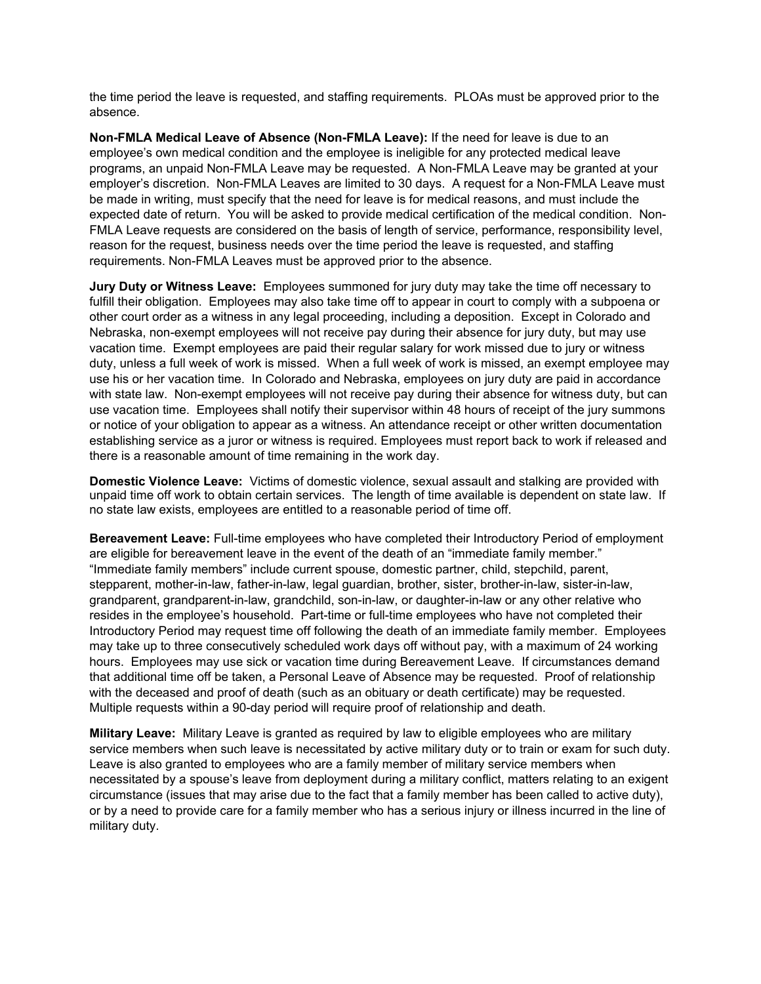the time period the leave is requested, and staffing requirements. PLOAs must be approved prior to the absence.

**Non-FMLA Medical Leave of Absence (Non-FMLA Leave):** If the need for leave is due to an employee's own medical condition and the employee is ineligible for any protected medical leave programs, an unpaid Non-FMLA Leave may be requested. A Non-FMLA Leave may be granted at your employer's discretion. Non-FMLA Leaves are limited to 30 days. A request for a Non-FMLA Leave must be made in writing, must specify that the need for leave is for medical reasons, and must include the expected date of return. You will be asked to provide medical certification of the medical condition. Non-FMLA Leave requests are considered on the basis of length of service, performance, responsibility level, reason for the request, business needs over the time period the leave is requested, and staffing requirements. Non-FMLA Leaves must be approved prior to the absence.

**Jury Duty or Witness Leave:** Employees summoned for jury duty may take the time off necessary to fulfill their obligation. Employees may also take time off to appear in court to comply with a subpoena or other court order as a witness in any legal proceeding, including a deposition. Except in Colorado and Nebraska, non-exempt employees will not receive pay during their absence for jury duty, but may use vacation time. Exempt employees are paid their regular salary for work missed due to jury or witness duty, unless a full week of work is missed. When a full week of work is missed, an exempt employee may use his or her vacation time. In Colorado and Nebraska, employees on jury duty are paid in accordance with state law. Non-exempt employees will not receive pay during their absence for witness duty, but can use vacation time. Employees shall notify their supervisor within 48 hours of receipt of the jury summons or notice of your obligation to appear as a witness. An attendance receipt or other written documentation establishing service as a juror or witness is required. Employees must report back to work if released and there is a reasonable amount of time remaining in the work day.

**Domestic Violence Leave:** Victims of domestic violence, sexual assault and stalking are provided with unpaid time off work to obtain certain services. The length of time available is dependent on state law. If no state law exists, employees are entitled to a reasonable period of time off.

**Bereavement Leave:** Full-time employees who have completed their Introductory Period of employment are eligible for bereavement leave in the event of the death of an "immediate family member." "Immediate family members" include current spouse, domestic partner, child, stepchild, parent, stepparent, mother-in-law, father-in-law, legal guardian, brother, sister, brother-in-law, sister-in-law, grandparent, grandparent-in-law, grandchild, son-in-law, or daughter-in-law or any other relative who resides in the employee's household. Part-time or full-time employees who have not completed their Introductory Period may request time off following the death of an immediate family member. Employees may take up to three consecutively scheduled work days off without pay, with a maximum of 24 working hours. Employees may use sick or vacation time during Bereavement Leave. If circumstances demand that additional time off be taken, a Personal Leave of Absence may be requested. Proof of relationship with the deceased and proof of death (such as an obituary or death certificate) may be requested. Multiple requests within a 90-day period will require proof of relationship and death.

**Military Leave:** Military Leave is granted as required by law to eligible employees who are military service members when such leave is necessitated by active military duty or to train or exam for such duty. Leave is also granted to employees who are a family member of military service members when necessitated by a spouse's leave from deployment during a military conflict, matters relating to an exigent circumstance (issues that may arise due to the fact that a family member has been called to active duty), or by a need to provide care for a family member who has a serious injury or illness incurred in the line of military duty.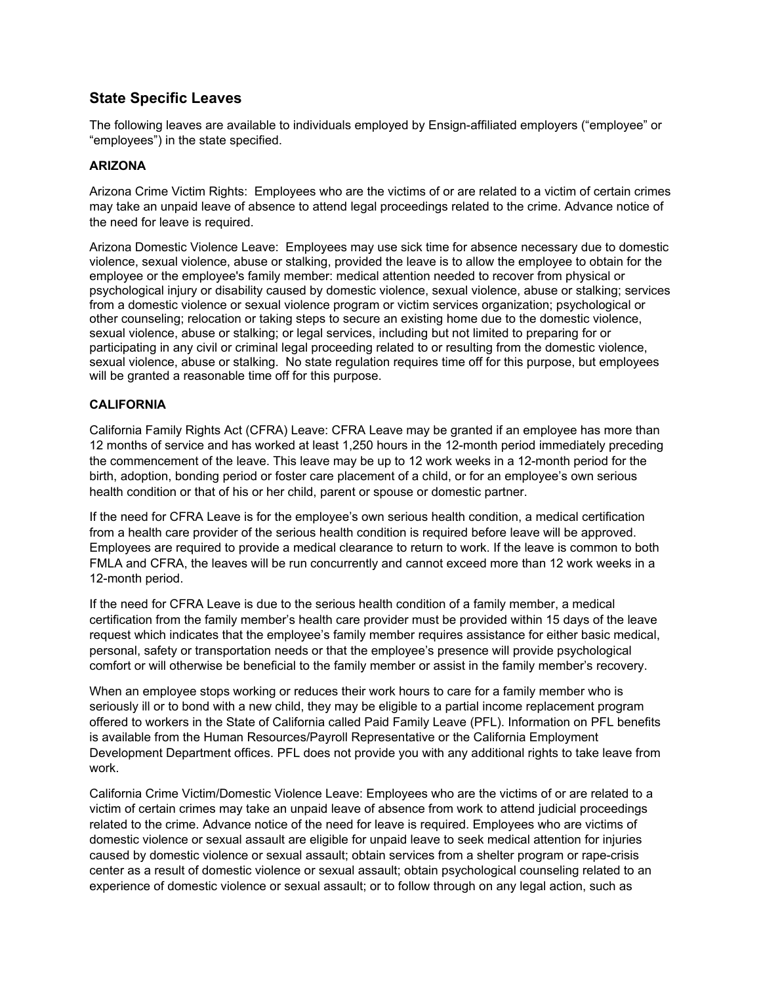# **State Specific Leaves**

The following leaves are available to individuals employed by Ensign-affiliated employers ("employee" or "employees") in the state specified.

### **ARIZONA**

Arizona Crime Victim Rights: Employees who are the victims of or are related to a victim of certain crimes may take an unpaid leave of absence to attend legal proceedings related to the crime. Advance notice of the need for leave is required.

Arizona Domestic Violence Leave: Employees may use sick time for absence necessary due to domestic violence, sexual violence, abuse or stalking, provided the leave is to allow the employee to obtain for the employee or the employee's family member: medical attention needed to recover from physical or psychological injury or disability caused by domestic violence, sexual violence, abuse or stalking; services from a domestic violence or sexual violence program or victim services organization; psychological or other counseling; relocation or taking steps to secure an existing home due to the domestic violence, sexual violence, abuse or stalking; or legal services, including but not limited to preparing for or participating in any civil or criminal legal proceeding related to or resulting from the domestic violence, sexual violence, abuse or stalking. No state regulation requires time off for this purpose, but employees will be granted a reasonable time off for this purpose.

# **CALIFORNIA**

California Family Rights Act (CFRA) Leave: CFRA Leave may be granted if an employee has more than 12 months of service and has worked at least 1,250 hours in the 12-month period immediately preceding the commencement of the leave. This leave may be up to 12 work weeks in a 12-month period for the birth, adoption, bonding period or foster care placement of a child, or for an employee's own serious health condition or that of his or her child, parent or spouse or domestic partner.

If the need for CFRA Leave is for the employee's own serious health condition, a medical certification from a health care provider of the serious health condition is required before leave will be approved. Employees are required to provide a medical clearance to return to work. If the leave is common to both FMLA and CFRA, the leaves will be run concurrently and cannot exceed more than 12 work weeks in a 12-month period.

If the need for CFRA Leave is due to the serious health condition of a family member, a medical certification from the family member's health care provider must be provided within 15 days of the leave request which indicates that the employee's family member requires assistance for either basic medical, personal, safety or transportation needs or that the employee's presence will provide psychological comfort or will otherwise be beneficial to the family member or assist in the family member's recovery.

When an employee stops working or reduces their work hours to care for a family member who is seriously ill or to bond with a new child, they may be eligible to a partial income replacement program offered to workers in the State of California called Paid Family Leave (PFL). Information on PFL benefits is available from the Human Resources/Payroll Representative or the California Employment Development Department offices. PFL does not provide you with any additional rights to take leave from work.

California Crime Victim/Domestic Violence Leave: Employees who are the victims of or are related to a victim of certain crimes may take an unpaid leave of absence from work to attend judicial proceedings related to the crime. Advance notice of the need for leave is required. Employees who are victims of domestic violence or sexual assault are eligible for unpaid leave to seek medical attention for injuries caused by domestic violence or sexual assault; obtain services from a shelter program or rape-crisis center as a result of domestic violence or sexual assault; obtain psychological counseling related to an experience of domestic violence or sexual assault; or to follow through on any legal action, such as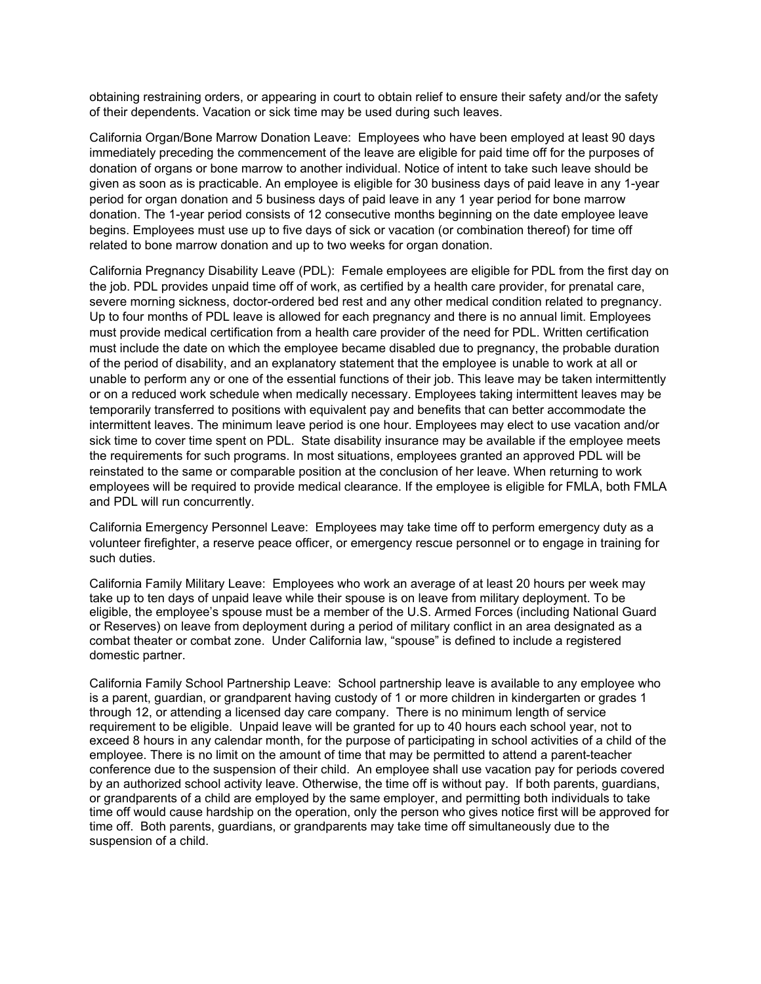obtaining restraining orders, or appearing in court to obtain relief to ensure their safety and/or the safety of their dependents. Vacation or sick time may be used during such leaves.

California Organ/Bone Marrow Donation Leave: Employees who have been employed at least 90 days immediately preceding the commencement of the leave are eligible for paid time off for the purposes of donation of organs or bone marrow to another individual. Notice of intent to take such leave should be given as soon as is practicable. An employee is eligible for 30 business days of paid leave in any 1-year period for organ donation and 5 business days of paid leave in any 1 year period for bone marrow donation. The 1-year period consists of 12 consecutive months beginning on the date employee leave begins. Employees must use up to five days of sick or vacation (or combination thereof) for time off related to bone marrow donation and up to two weeks for organ donation.

California Pregnancy Disability Leave (PDL): Female employees are eligible for PDL from the first day on the job. PDL provides unpaid time off of work, as certified by a health care provider, for prenatal care, severe morning sickness, doctor-ordered bed rest and any other medical condition related to pregnancy. Up to four months of PDL leave is allowed for each pregnancy and there is no annual limit. Employees must provide medical certification from a health care provider of the need for PDL. Written certification must include the date on which the employee became disabled due to pregnancy, the probable duration of the period of disability, and an explanatory statement that the employee is unable to work at all or unable to perform any or one of the essential functions of their job. This leave may be taken intermittently or on a reduced work schedule when medically necessary. Employees taking intermittent leaves may be temporarily transferred to positions with equivalent pay and benefits that can better accommodate the intermittent leaves. The minimum leave period is one hour. Employees may elect to use vacation and/or sick time to cover time spent on PDL. State disability insurance may be available if the employee meets the requirements for such programs. In most situations, employees granted an approved PDL will be reinstated to the same or comparable position at the conclusion of her leave. When returning to work employees will be required to provide medical clearance. If the employee is eligible for FMLA, both FMLA and PDL will run concurrently.

California Emergency Personnel Leave: Employees may take time off to perform emergency duty as a volunteer firefighter, a reserve peace officer, or emergency rescue personnel or to engage in training for such duties.

California Family Military Leave: Employees who work an average of at least 20 hours per week may take up to ten days of unpaid leave while their spouse is on leave from military deployment. To be eligible, the employee's spouse must be a member of the U.S. Armed Forces (including National Guard or Reserves) on leave from deployment during a period of military conflict in an area designated as a combat theater or combat zone. Under California law, "spouse" is defined to include a registered domestic partner.

California Family School Partnership Leave: School partnership leave is available to any employee who is a parent, guardian, or grandparent having custody of 1 or more children in kindergarten or grades 1 through 12, or attending a licensed day care company. There is no minimum length of service requirement to be eligible. Unpaid leave will be granted for up to 40 hours each school year, not to exceed 8 hours in any calendar month, for the purpose of participating in school activities of a child of the employee. There is no limit on the amount of time that may be permitted to attend a parent-teacher conference due to the suspension of their child. An employee shall use vacation pay for periods covered by an authorized school activity leave. Otherwise, the time off is without pay. If both parents, guardians, or grandparents of a child are employed by the same employer, and permitting both individuals to take time off would cause hardship on the operation, only the person who gives notice first will be approved for time off. Both parents, guardians, or grandparents may take time off simultaneously due to the suspension of a child.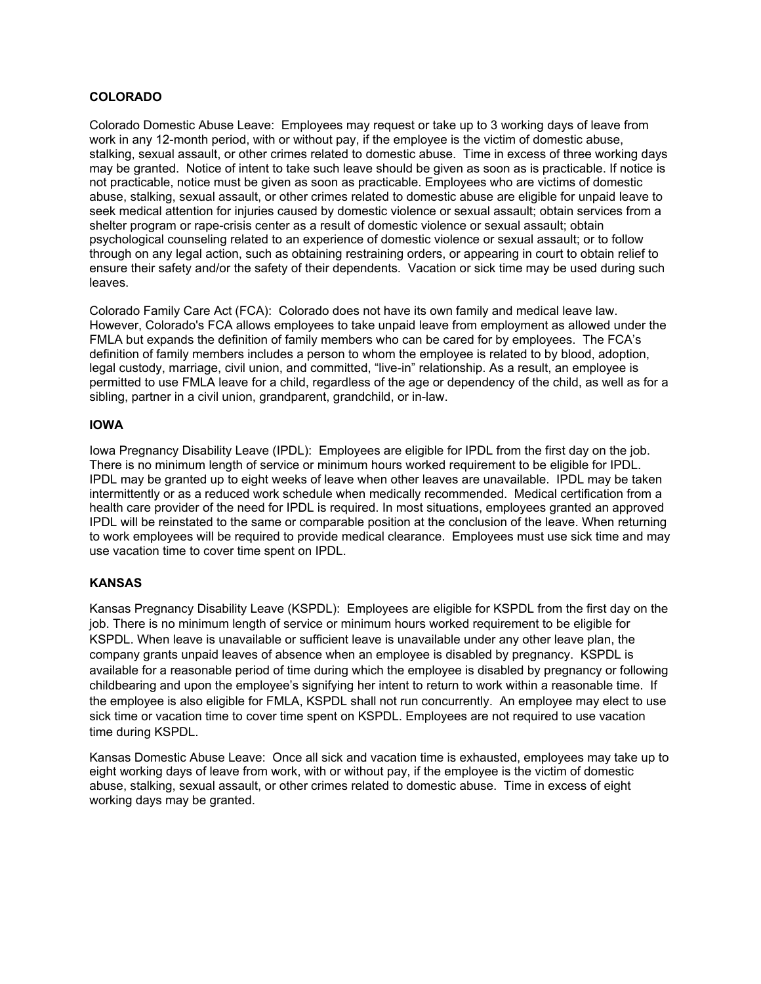#### **COLORADO**

Colorado Domestic Abuse Leave: Employees may request or take up to 3 working days of leave from work in any 12-month period, with or without pay, if the employee is the victim of domestic abuse, stalking, sexual assault, or other crimes related to domestic abuse. Time in excess of three working days may be granted. Notice of intent to take such leave should be given as soon as is practicable. If notice is not practicable, notice must be given as soon as practicable. Employees who are victims of domestic abuse, stalking, sexual assault, or other crimes related to domestic abuse are eligible for unpaid leave to seek medical attention for injuries caused by domestic violence or sexual assault; obtain services from a shelter program or rape-crisis center as a result of domestic violence or sexual assault; obtain psychological counseling related to an experience of domestic violence or sexual assault; or to follow through on any legal action, such as obtaining restraining orders, or appearing in court to obtain relief to ensure their safety and/or the safety of their dependents. Vacation or sick time may be used during such leaves.

Colorado Family Care Act (FCA): Colorado does not have its own family and medical leave law. However, Colorado's FCA allows employees to take unpaid leave from employment as allowed under the FMLA but expands the definition of family members who can be cared for by employees. The FCA's definition of family members includes a person to whom the employee is related to by blood, adoption, legal custody, marriage, civil union, and committed, "live-in" relationship. As a result, an employee is permitted to use FMLA leave for a child, regardless of the age or dependency of the child, as well as for a sibling, partner in a civil union, grandparent, grandchild, or in-law.

#### **IOWA**

Iowa Pregnancy Disability Leave (IPDL): Employees are eligible for IPDL from the first day on the job. There is no minimum length of service or minimum hours worked requirement to be eligible for IPDL. IPDL may be granted up to eight weeks of leave when other leaves are unavailable. IPDL may be taken intermittently or as a reduced work schedule when medically recommended. Medical certification from a health care provider of the need for IPDL is required. In most situations, employees granted an approved IPDL will be reinstated to the same or comparable position at the conclusion of the leave. When returning to work employees will be required to provide medical clearance. Employees must use sick time and may use vacation time to cover time spent on IPDL.

#### **KANSAS**

Kansas Pregnancy Disability Leave (KSPDL): Employees are eligible for KSPDL from the first day on the job. There is no minimum length of service or minimum hours worked requirement to be eligible for KSPDL. When leave is unavailable or sufficient leave is unavailable under any other leave plan, the company grants unpaid leaves of absence when an employee is disabled by pregnancy. KSPDL is available for a reasonable period of time during which the employee is disabled by pregnancy or following childbearing and upon the employee's signifying her intent to return to work within a reasonable time. If the employee is also eligible for FMLA, KSPDL shall not run concurrently. An employee may elect to use sick time or vacation time to cover time spent on KSPDL. Employees are not required to use vacation time during KSPDL.

Kansas Domestic Abuse Leave: Once all sick and vacation time is exhausted, employees may take up to eight working days of leave from work, with or without pay, if the employee is the victim of domestic abuse, stalking, sexual assault, or other crimes related to domestic abuse. Time in excess of eight working days may be granted.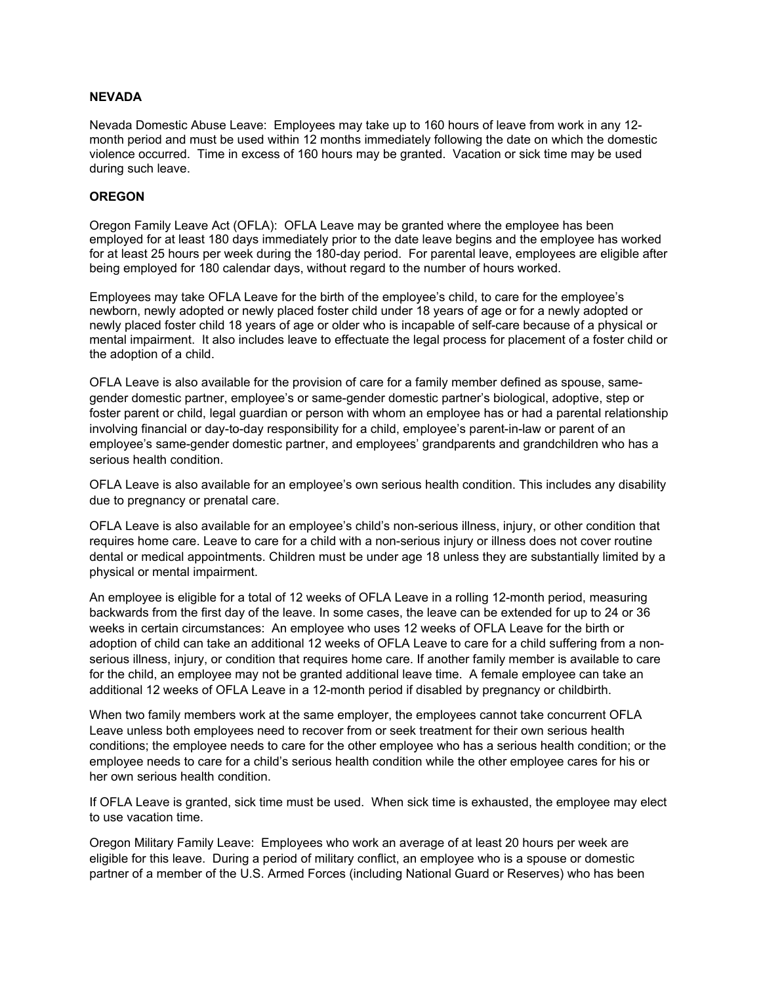#### **NEVADA**

Nevada Domestic Abuse Leave: Employees may take up to 160 hours of leave from work in any 12 month period and must be used within 12 months immediately following the date on which the domestic violence occurred. Time in excess of 160 hours may be granted. Vacation or sick time may be used during such leave.

#### **OREGON**

Oregon Family Leave Act (OFLA): OFLA Leave may be granted where the employee has been employed for at least 180 days immediately prior to the date leave begins and the employee has worked for at least 25 hours per week during the 180-day period. For parental leave, employees are eligible after being employed for 180 calendar days, without regard to the number of hours worked.

Employees may take OFLA Leave for the birth of the employee's child, to care for the employee's newborn, newly adopted or newly placed foster child under 18 years of age or for a newly adopted or newly placed foster child 18 years of age or older who is incapable of self-care because of a physical or mental impairment. It also includes leave to effectuate the legal process for placement of a foster child or the adoption of a child.

OFLA Leave is also available for the provision of care for a family member defined as spouse, samegender domestic partner, employee's or same-gender domestic partner's biological, adoptive, step or foster parent or child, legal guardian or person with whom an employee has or had a parental relationship involving financial or day-to-day responsibility for a child, employee's parent-in-law or parent of an employee's same-gender domestic partner, and employees' grandparents and grandchildren who has a serious health condition.

OFLA Leave is also available for an employee's own serious health condition. This includes any disability due to pregnancy or prenatal care.

OFLA Leave is also available for an employee's child's non-serious illness, injury, or other condition that requires home care. Leave to care for a child with a non-serious injury or illness does not cover routine dental or medical appointments. Children must be under age 18 unless they are substantially limited by a physical or mental impairment.

An employee is eligible for a total of 12 weeks of OFLA Leave in a rolling 12-month period, measuring backwards from the first day of the leave. In some cases, the leave can be extended for up to 24 or 36 weeks in certain circumstances: An employee who uses 12 weeks of OFLA Leave for the birth or adoption of child can take an additional 12 weeks of OFLA Leave to care for a child suffering from a nonserious illness, injury, or condition that requires home care. If another family member is available to care for the child, an employee may not be granted additional leave time. A female employee can take an additional 12 weeks of OFLA Leave in a 12-month period if disabled by pregnancy or childbirth.

When two family members work at the same employer, the employees cannot take concurrent OFLA Leave unless both employees need to recover from or seek treatment for their own serious health conditions; the employee needs to care for the other employee who has a serious health condition; or the employee needs to care for a child's serious health condition while the other employee cares for his or her own serious health condition.

If OFLA Leave is granted, sick time must be used. When sick time is exhausted, the employee may elect to use vacation time.

Oregon Military Family Leave: Employees who work an average of at least 20 hours per week are eligible for this leave. During a period of military conflict, an employee who is a spouse or domestic partner of a member of the U.S. Armed Forces (including National Guard or Reserves) who has been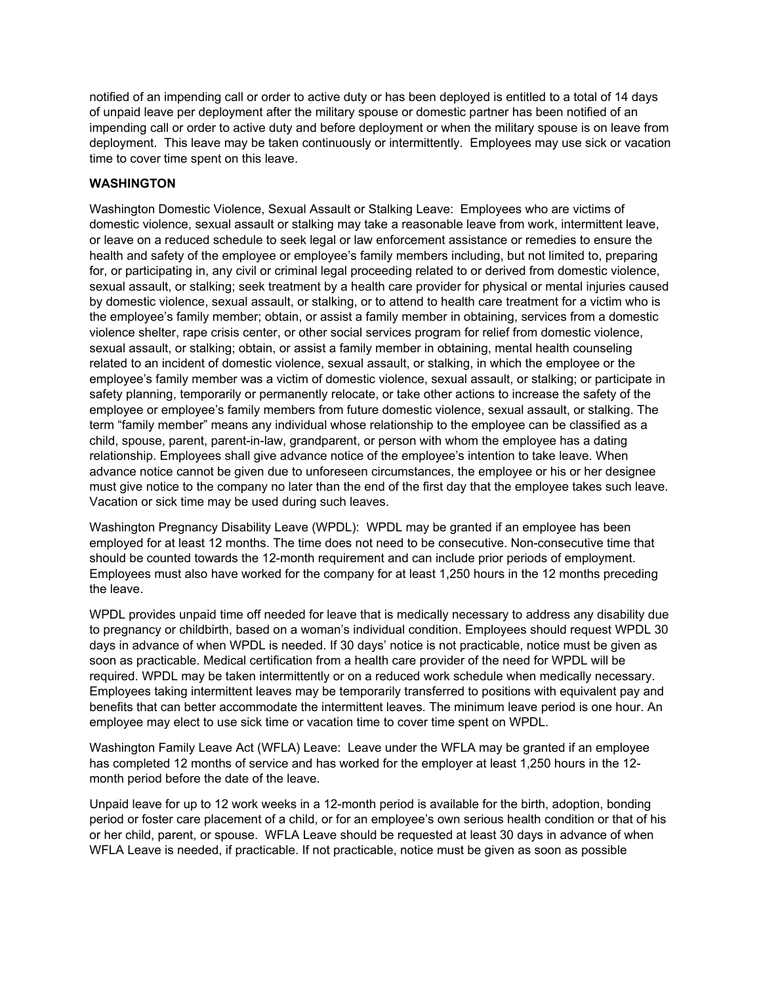notified of an impending call or order to active duty or has been deployed is entitled to a total of 14 days of unpaid leave per deployment after the military spouse or domestic partner has been notified of an impending call or order to active duty and before deployment or when the military spouse is on leave from deployment. This leave may be taken continuously or intermittently. Employees may use sick or vacation time to cover time spent on this leave.

## **WASHINGTON**

Washington Domestic Violence, Sexual Assault or Stalking Leave: Employees who are victims of domestic violence, sexual assault or stalking may take a reasonable leave from work, intermittent leave, or leave on a reduced schedule to seek legal or law enforcement assistance or remedies to ensure the health and safety of the employee or employee's family members including, but not limited to, preparing for, or participating in, any civil or criminal legal proceeding related to or derived from domestic violence, sexual assault, or stalking; seek treatment by a health care provider for physical or mental injuries caused by domestic violence, sexual assault, or stalking, or to attend to health care treatment for a victim who is the employee's family member; obtain, or assist a family member in obtaining, services from a domestic violence shelter, rape crisis center, or other social services program for relief from domestic violence, sexual assault, or stalking; obtain, or assist a family member in obtaining, mental health counseling related to an incident of domestic violence, sexual assault, or stalking, in which the employee or the employee's family member was a victim of domestic violence, sexual assault, or stalking; or participate in safety planning, temporarily or permanently relocate, or take other actions to increase the safety of the employee or employee's family members from future domestic violence, sexual assault, or stalking. The term "family member" means any individual whose relationship to the employee can be classified as a child, spouse, parent, parent-in-law, grandparent, or person with whom the employee has a dating relationship. Employees shall give advance notice of the employee's intention to take leave. When advance notice cannot be given due to unforeseen circumstances, the employee or his or her designee must give notice to the company no later than the end of the first day that the employee takes such leave. Vacation or sick time may be used during such leaves.

Washington Pregnancy Disability Leave (WPDL): WPDL may be granted if an employee has been employed for at least 12 months. The time does not need to be consecutive. Non-consecutive time that should be counted towards the 12-month requirement and can include prior periods of employment. Employees must also have worked for the company for at least 1,250 hours in the 12 months preceding the leave.

WPDL provides unpaid time off needed for leave that is medically necessary to address any disability due to pregnancy or childbirth, based on a woman's individual condition. Employees should request WPDL 30 days in advance of when WPDL is needed. If 30 days' notice is not practicable, notice must be given as soon as practicable. Medical certification from a health care provider of the need for WPDL will be required. WPDL may be taken intermittently or on a reduced work schedule when medically necessary. Employees taking intermittent leaves may be temporarily transferred to positions with equivalent pay and benefits that can better accommodate the intermittent leaves. The minimum leave period is one hour. An employee may elect to use sick time or vacation time to cover time spent on WPDL.

Washington Family Leave Act (WFLA) Leave: Leave under the WFLA may be granted if an employee has completed 12 months of service and has worked for the employer at least 1,250 hours in the 12 month period before the date of the leave.

Unpaid leave for up to 12 work weeks in a 12-month period is available for the birth, adoption, bonding period or foster care placement of a child, or for an employee's own serious health condition or that of his or her child, parent, or spouse. WFLA Leave should be requested at least 30 days in advance of when WFLA Leave is needed, if practicable. If not practicable, notice must be given as soon as possible